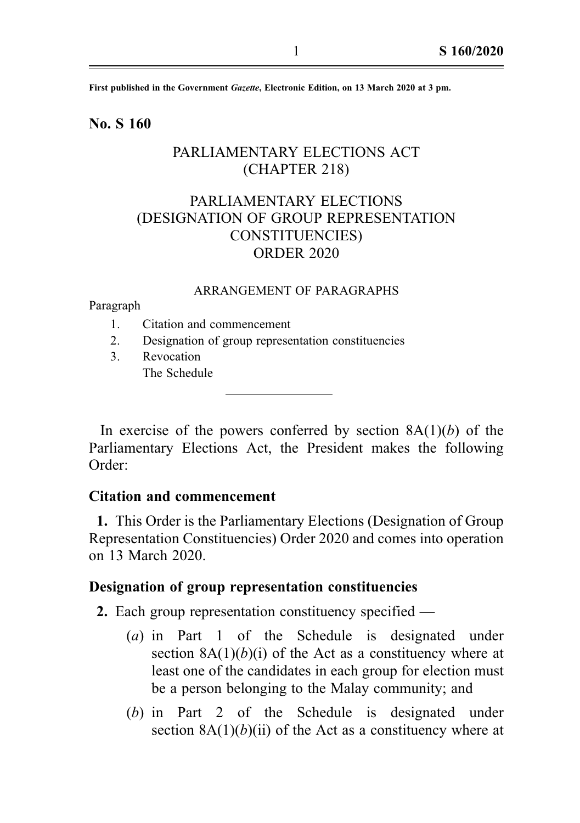First published in the Government Gazette, Electronic Edition, on 13 March 2020 at 3 pm.

### No. S 160

## PARLIAMENTARY ELECTIONS ACT (CHAPTER 218)

# PARLIAMENTARY ELECTIONS (DESIGNATION OF GROUP REPRESENTATION CONSTITUENCIES) ORDER 2020

### ARRANGEMENT OF PARAGRAPHS

Paragraph

- 1. Citation and commencement
- 2. Designation of group representation constituencies
- 3. Revocation The Schedule

In exercise of the powers conferred by section  $8A(1)(b)$  of the Parliamentary Elections Act, the President makes the following Order:

## Citation and commencement

1. This Order is the Parliamentary Elections (Designation of Group Representation Constituencies) Order 2020 and comes into operation on 13 March 2020.

#### Designation of group representation constituencies

2. Each group representation constituency specified —

- (a) in Part 1 of the Schedule is designated under section  $8A(1)(b)(i)$  of the Act as a constituency where at least one of the candidates in each group for election must be a person belonging to the Malay community; and
- (b) in Part 2 of the Schedule is designated under section  $8A(1)(b)(ii)$  of the Act as a constituency where at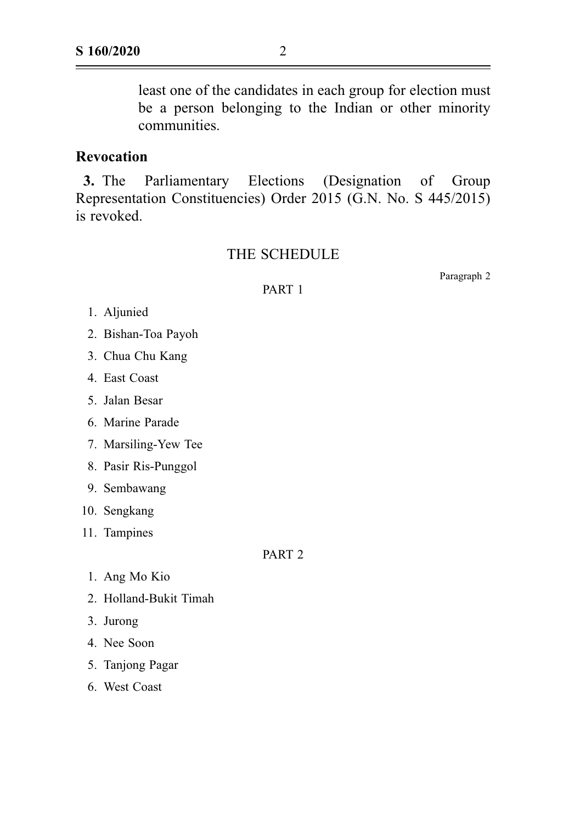least one of the candidates in each group for election must be a person belonging to the Indian or other minority communities.

### Revocation

3. The Parliamentary Elections (Designation of Group Representation Constituencies) Order 2015 (G.N. No. S 445/2015) is revoked.

### THE SCHEDULE

PART 1

Paragraph 2

1. Aljunied

- 2. Bishan-Toa Payoh
- 3. Chua Chu Kang
- 4. East Coast
- 5. Jalan Besar
- 6. Marine Parade
- 7. Marsiling-Yew Tee
- 8. Pasir Ris-Punggol
- 9. Sembawang
- 10. Sengkang
- 11. Tampines

PART 2

- 1. Ang Mo Kio
- 2. Holland-Bukit Timah
- 3. Jurong
- 4. Nee Soon
- 5. Tanjong Pagar
- 6. West Coast